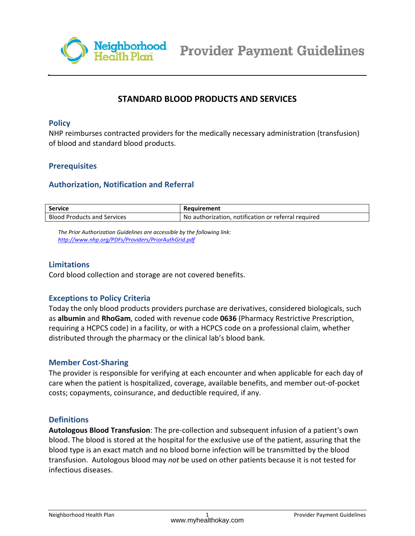

# **STANDARD BLOOD PRODUCTS AND SERVICES**

#### **Policy**

NHP reimburses contracted providers for the medically necessary administration (transfusion) of blood and standard blood products.

## **Prerequisites**

#### **Authorization, Notification and Referral**

| <b>Service</b>          | Reauirement                         |
|-------------------------|-------------------------------------|
| Blood                   | . notification or referral required |
| l Products and Services | No authorization.                   |

*The Prior Authorization Guidelines are accessible by the following link: http://www.nhp.org/PDFs/Providers/PriorAuthGrid.pdf*

#### **Li[mitations](http://www.nhp.org/PDFs/Providers/PriorAuthGrid.pdf)**

Cord blood collection and storage are not covered benefits.

## **Exceptions to Policy Criteria**

Today the only blood products providers purchase are derivatives, considered biologicals, such as **albumin** and **RhoGam**, coded with revenue code **0636** (Pharmacy Restrictive Prescription, requiring a HCPCS code) in a facility, or with a HCPCS code on a professional claim, whether distributed through the pharmacy or the clinical lab's blood bank.

#### **Member Cost-Sharing**

The provider is responsible for verifying at each encounter and when applicable for each day of care when the patient is hospitalized, coverage, available benefits, and member out-of-pocket costs; copayments, coinsurance, and deductible required, if any.

#### **Definitions**

**Autologous Blood Transfusion**: The pre-collection and subsequent infusion of a patient's own blood. The blood is stored at the hospital for the exclusive use of the patient, assuring that the blood type is an exact match and no blood borne infection will be transmitted by the blood transfusion. Autologous blood may *not* be used on other patients because it is not tested for infectious diseases.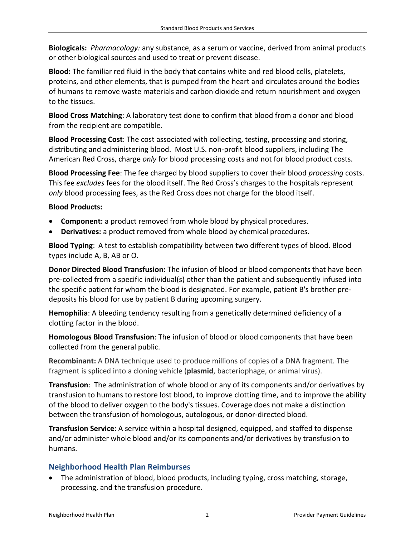**Biologicals:** *Pharmacology:* any substance, as a serum or vaccine, derived from animal products or other biological sources and used to treat or prevent disease.

**Blood:** The familiar red fluid in the body that contains white and red blood cells, platelets, proteins, and other elements, that is pumped from the heart and circulates around the bodies of humans to remove waste materials and carbon dioxide and return nourishment and oxygen to the tissues.

**Blood Cross Matching**: A laboratory test done to confirm that blood from a donor and blood from the recipient are compatible.

**Blood Processing Cost**: The cost associated with collecting, testing, processing and storing, distributing and administering blood. Most U.S. non-profit blood suppliers, including The American Red Cross, charge *only* for blood processing costs and not for blood product costs.

**Blood Processing Fee**: The fee charged by blood suppliers to cover their blood *processing* costs. This fee *excludes* fees for the blood itself. The Red Cross's charges to the hospitals represent *only* blood processing fees, as the Red Cross does not charge for the blood itself.

## **Blood Products:**

- **Component:** a product removed from whole blood by physical procedures.
- **Derivatives:** a product removed from whole blood by chemical procedures.

**Blood Typing**: A test to establish compatibility between two different types of blood. Blood types include A, B, AB or O.

**Donor Directed Blood Transfusion:** The infusion of blood or blood components that have been pre-collected from a specific individual(s) other than the patient and subsequently infused into the specific patient for whom the blood is designated. For example, patient B's brother predeposits his blood for use by patient B during upcoming surgery.

**Hemophilia**: A bleeding tendency resulting from a genetically determined deficiency of a clotting factor in the blood.

**Homologous Blood Transfusion**: The infusion of blood or blood components that have been collected from the general public.

**Recombinant:** A DNA technique used to produce millions of copies of a DNA fragment. The fragment is spliced into a cloning vehicle (**plasmid**, bacteriophage, or animal virus).

**Transfusion**: The administration of whole blood or any of its components and/or derivatives by transfusion to humans to restore lost blood, to improve clotting time, and to improve the ability of the blood to deliver oxygen to the body's tissues. Coverage does not make a distinction between the transfusion of homologous, autologous, or donor-directed blood.

**Transfusion Service**: A service within a hospital designed, equipped, and staffed to dispense and/or administer whole blood and/or its components and/or derivatives by transfusion to humans.

# **Neighborhood Health Plan Reimburses**

• The administration of blood, blood products, including typing, cross matching, storage, processing, and the transfusion procedure.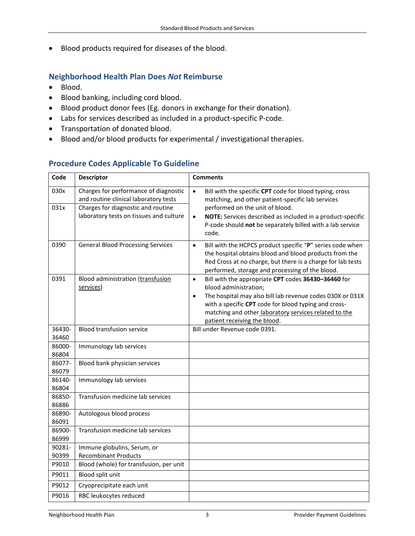• Blood products required for diseases of the blood.

## **Neighborhood Health Plan Does** *Not* **Reimburse**

- Blood.
- Blood banking, including cord blood.
- Blood product donor fees (Eg. donors in exchange for their donation).
- Labs for services described as included in a product-specific P-code.
- Transportation of donated blood.
- Blood and/or blood products for experimental / investigational therapies.

# **Procedure Codes Applicable To Guideline**

| Code            | <b>Descriptor</b>                                                              | <b>Comments</b>                                                                                                                                                                                                                                    |
|-----------------|--------------------------------------------------------------------------------|----------------------------------------------------------------------------------------------------------------------------------------------------------------------------------------------------------------------------------------------------|
| 030x            | Charges for performance of diagnostic<br>and routine clinical laboratory tests | $\bullet$<br>Bill with the specific CPT code for blood typing, cross<br>matching, and other patient-specific lab services                                                                                                                          |
| 031x            | Charges for diagnostic and routine                                             | performed on the unit of blood.                                                                                                                                                                                                                    |
|                 | laboratory tests on tissues and culture                                        | NOTE: Services described as included in a product-specific<br>$\bullet$<br>P-code should not be separately billed with a lab service<br>code.                                                                                                      |
| 0390            | <b>General Blood Processing Services</b>                                       | Bill with the HCPCS product specific "P" series code when<br>$\bullet$<br>the hospital obtains blood and blood products from the<br>Red Cross at no charge, but there is a charge for lab tests<br>performed, storage and processing of the blood. |
| 0391            | Blood administration (transfusion                                              | Bill with the appropriate CPT codes 36430-36460 for<br>$\bullet$                                                                                                                                                                                   |
|                 | services)                                                                      | blood administration;                                                                                                                                                                                                                              |
|                 |                                                                                | The hospital may also bill lab revenue codes 030X or 031X<br>$\bullet$                                                                                                                                                                             |
|                 |                                                                                | with a specific CPT code for blood typing and cross-                                                                                                                                                                                               |
|                 |                                                                                | matching and other laboratory services related to the<br>patient receiving the blood.                                                                                                                                                              |
| 36430-          | <b>Blood transfusion service</b>                                               | Bill under Revenue code 0391.                                                                                                                                                                                                                      |
| 36460           |                                                                                |                                                                                                                                                                                                                                                    |
| 86000-          | Immunology lab services                                                        |                                                                                                                                                                                                                                                    |
| 86804           |                                                                                |                                                                                                                                                                                                                                                    |
| 86077-          | Blood bank physician services                                                  |                                                                                                                                                                                                                                                    |
| 86079           |                                                                                |                                                                                                                                                                                                                                                    |
| 86140-<br>86804 | Immunology lab services                                                        |                                                                                                                                                                                                                                                    |
| 86850-          | Transfusion medicine lab services                                              |                                                                                                                                                                                                                                                    |
| 86886           |                                                                                |                                                                                                                                                                                                                                                    |
| 86890-          | Autologous blood process                                                       |                                                                                                                                                                                                                                                    |
| 86091           |                                                                                |                                                                                                                                                                                                                                                    |
| 86900-          | Transfusion medicine lab services                                              |                                                                                                                                                                                                                                                    |
| 86999           |                                                                                |                                                                                                                                                                                                                                                    |
| 90281-<br>90399 | Immune globulins, Serum, or<br><b>Recombinant Products</b>                     |                                                                                                                                                                                                                                                    |
| P9010           | Blood (whole) for transfusion, per unit                                        |                                                                                                                                                                                                                                                    |
| P9011           | Blood split unit                                                               |                                                                                                                                                                                                                                                    |
| P9012           | Cryoprecipitate each unit                                                      |                                                                                                                                                                                                                                                    |
| P9016           | RBC leukocytes reduced                                                         |                                                                                                                                                                                                                                                    |
|                 |                                                                                |                                                                                                                                                                                                                                                    |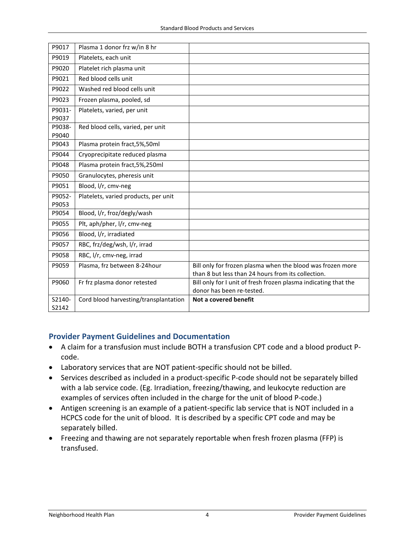| P9017           | Plasma 1 donor frz w/in 8 hr          |                                                                                                                  |
|-----------------|---------------------------------------|------------------------------------------------------------------------------------------------------------------|
| P9019           | Platelets, each unit                  |                                                                                                                  |
| P9020           | Platelet rich plasma unit             |                                                                                                                  |
| P9021           | Red blood cells unit                  |                                                                                                                  |
| P9022           | Washed red blood cells unit           |                                                                                                                  |
| P9023           | Frozen plasma, pooled, sd             |                                                                                                                  |
| P9031-<br>P9037 | Platelets, varied, per unit           |                                                                                                                  |
| P9038-<br>P9040 | Red blood cells, varied, per unit     |                                                                                                                  |
| P9043           | Plasma protein fract, 5%, 50ml        |                                                                                                                  |
| P9044           | Cryoprecipitate reduced plasma        |                                                                                                                  |
| P9048           | Plasma protein fract, 5%, 250ml       |                                                                                                                  |
| P9050           | Granulocytes, pheresis unit           |                                                                                                                  |
| P9051           | Blood, l/r, cmv-neg                   |                                                                                                                  |
| P9052-<br>P9053 | Platelets, varied products, per unit  |                                                                                                                  |
| P9054           | Blood, I/r, froz/degly/wash           |                                                                                                                  |
| P9055           | Plt, aph/pher, I/r, cmv-neg           |                                                                                                                  |
| P9056           | Blood, I/r, irradiated                |                                                                                                                  |
| P9057           | RBC, frz/deg/wsh, l/r, irrad          |                                                                                                                  |
| P9058           | RBC, I/r, cmv-neg, irrad              |                                                                                                                  |
| P9059           | Plasma, frz between 8-24 hour         | Bill only for frozen plasma when the blood was frozen more<br>than 8 but less than 24 hours from its collection. |
| P9060           | Fr frz plasma donor retested          | Bill only for I unit of fresh frozen plasma indicating that the<br>donor has been re-tested.                     |
| S2140-<br>S2142 | Cord blood harvesting/transplantation | Not a covered benefit                                                                                            |

## **Provider Payment Guidelines and Documentation**

- A claim for a transfusion must include BOTH a transfusion CPT code and a blood product Pcode.
- Laboratory services that are NOT patient-specific should not be billed.
- Services described as included in a product-specific P-code should not be separately billed with a lab service code. (Eg. Irradiation, freezing/thawing, and leukocyte reduction are examples of services often included in the charge for the unit of blood P-code.)
- Antigen screening is an example of a patient-specific lab service that is NOT included in a HCPCS code for the unit of blood. It is described by a specific CPT code and may be separately billed.
- Freezing and thawing are not separately reportable when fresh frozen plasma (FFP) is transfused.